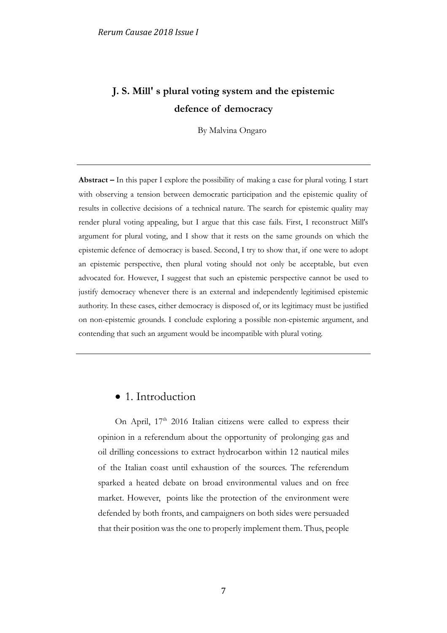# **J. S. Mill' s plural voting system and the epistemic defence of democracy**

By Malvina Ongaro

**Abstract –** In this paper I explore the possibility of making a case for plural voting. I start with observing a tension between democratic participation and the epistemic quality of results in collective decisions of a technical nature. The search for epistemic quality may render plural voting appealing, but I argue that this case fails. First, I reconstruct Mill's argument for plural voting, and I show that it rests on the same grounds on which the epistemic defence of democracy is based. Second, I try to show that, if one were to adopt an epistemic perspective, then plural voting should not only be acceptable, but even advocated for. However, I suggest that such an epistemic perspective cannot be used to justify democracy whenever there is an external and independently legitimised epistemic authority. In these cases, either democracy is disposed of, or its legitimacy must be justified on non-epistemic grounds. I conclude exploring a possible non-epistemic argument, and contending that such an argument would be incompatible with plural voting.

#### • 1. Introduction

On April, 17<sup>th</sup> 2016 Italian citizens were called to express their opinion in a referendum about the opportunity of prolonging gas and oil drilling concessions to extract hydrocarbon within 12 nautical miles of the Italian coast until exhaustion of the sources. The referendum sparked a heated debate on broad environmental values and on free market. However, points like the protection of the environment were defended by both fronts, and campaigners on both sides were persuaded that their position was the one to properly implement them. Thus, people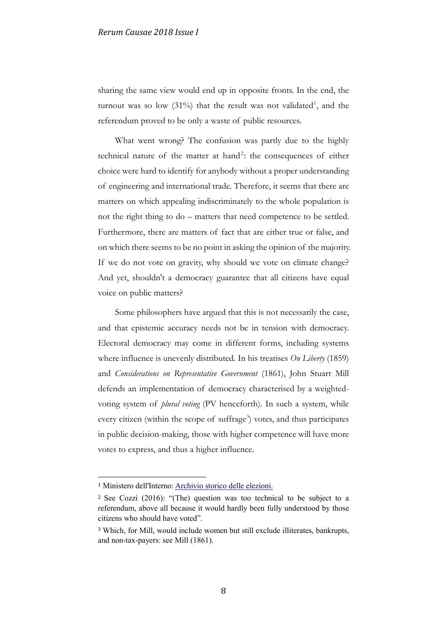sharing the same view would end up in opposite fronts. In the end, the turnout was so low  $(31\%)$  that the result was not validated<sup>1</sup>, and the referendum proved to be only a waste of public resources.

What went wrong? The confusion was partly due to the highly technical nature of the matter at hand<sup>2</sup>: the consequences of either choice were hard to identify for anybody without a proper understanding of engineering and international trade. Therefore, it seems that there are matters on which appealing indiscriminately to the whole population is not the right thing to do – matters that need competence to be settled. Furthermore, there are matters of fact that are either true or false, and on which there seems to be no point in asking the opinion of the majority. If we do not vote on gravity, why should we vote on climate change? And yet, shouldn't a democracy guarantee that all citizens have equal voice on public matters?

Some philosophers have argued that this is not necessarily the case, and that epistemic accuracy needs not be in tension with democracy. Electoral democracy may come in different forms, including systems where influence is unevenly distributed. In his treatises *On Liberty* (1859) and *Considerations on Representative Government* (1861), John Stuart Mill defends an implementation of democracy characterised by a weightedvoting system of *plural voting* (PV henceforth). In such a system, while every citizen (within the scope of suffrage<sup>3</sup>) votes, and thus participates in public decision-making, those with higher competence will have more votes to express, and thus a higher influence.

1

<sup>1</sup> Ministero dell'Interno[: Archivio storico delle elezioni.](http://elezionistorico.interno.it/index.php?tpel=F&dtel=17/04/2016&tpa=Y&tpe=A&lev0=0&levsut0=0&es0=N&ms=S)

<sup>2</sup> See Cozzi (2016): "(The) question was too technical to be subject to a referendum, above all because it would hardly been fully understood by those citizens who should have voted".

<sup>3</sup> Which, for Mill, would include women but still exclude illiterates, bankrupts, and non-tax-payers: see Mill (1861).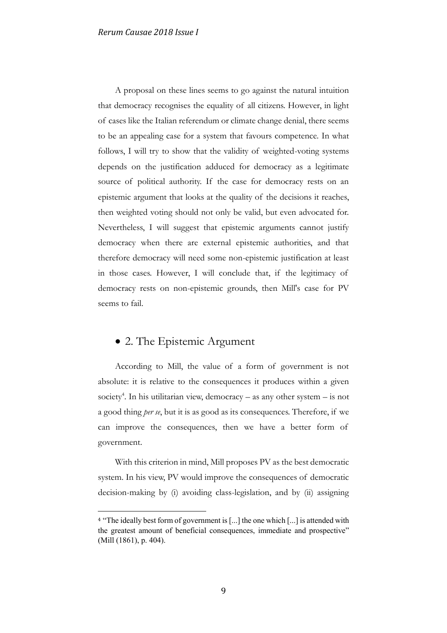A proposal on these lines seems to go against the natural intuition that democracy recognises the equality of all citizens. However, in light of cases like the Italian referendum or climate change denial, there seems to be an appealing case for a system that favours competence. In what follows, I will try to show that the validity of weighted-voting systems depends on the justification adduced for democracy as a legitimate source of political authority. If the case for democracy rests on an epistemic argument that looks at the quality of the decisions it reaches, then weighted voting should not only be valid, but even advocated for. Nevertheless, I will suggest that epistemic arguments cannot justify democracy when there are external epistemic authorities, and that therefore democracy will need some non-epistemic justification at least in those cases. However, I will conclude that, if the legitimacy of democracy rests on non-epistemic grounds, then Mill's case for PV seems to fail.

### • 2. The Epistemic Argument

1

According to Mill, the value of a form of government is not absolute: it is relative to the consequences it produces within a given society<sup>4</sup>. In his utilitarian view, democracy  $-$  as any other system  $-$  is not a good thing *per se*, but it is as good as its consequences. Therefore, if we can improve the consequences, then we have a better form of government.

With this criterion in mind, Mill proposes PV as the best democratic system. In his view, PV would improve the consequences of democratic decision-making by (i) avoiding class-legislation, and by (ii) assigning

<sup>&</sup>lt;sup>4</sup> "The ideally best form of government is [...] the one which [...] is attended with the greatest amount of beneficial consequences, immediate and prospective" (Mill (1861), p. 404).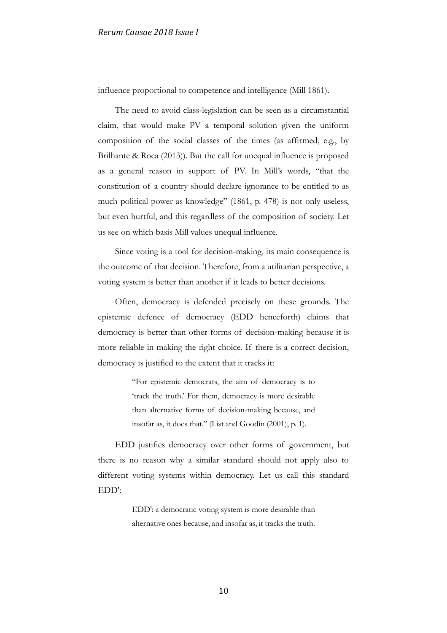influence proportional to competence and intelligence (Mill 1861).

The need to avoid class-legislation can be seen as a circumstantial claim, that would make PV a temporal solution given the uniform composition of the social classes of the times (as affirmed, e.g., by Brilhante & Roca (2013)). But the call for unequal influence is proposed as a general reason in support of PV. In Mill's words, "that the constitution of a country should declare ignorance to be entitled to as much political power as knowledge" (1861, p. 478) is not only useless, but even hurtful, and this regardless of the composition of society. Let us see on which basis Mill values unequal influence.

Since voting is a tool for decision-making, its main consequence is the outcome of that decision. Therefore, from a utilitarian perspective, a voting system is better than another if it leads to better decisions.

Often, democracy is defended precisely on these grounds. The epistemic defence of democracy (EDD henceforth) claims that democracy is better than other forms of decision-making because it is more reliable in making the right choice. If there is a correct decision, democracy is justified to the extent that it tracks it:

> "For epistemic democrats, the aim of democracy is to 'track the truth.' For them, democracy is more desirable than alternative forms of decision-making because, and insofar as, it does that." (List and Goodin (2001), p. 1).

EDD justifies democracy over other forms of government, but there is no reason why a similar standard should not apply also to different voting systems within democracy. Let us call this standard EDD':

> EDD': a democratic voting system is more desirable than alternative ones because, and insofar as, it tracks the truth.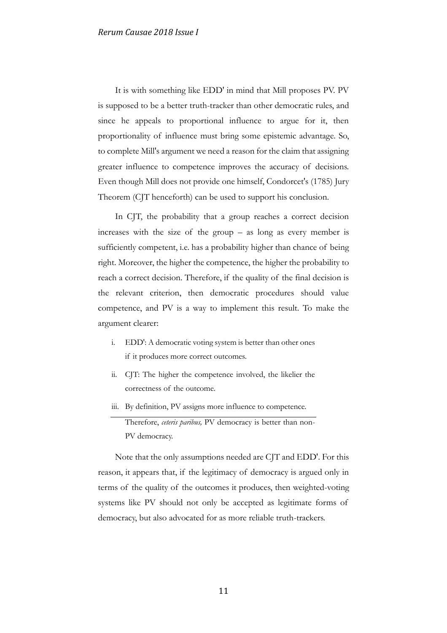It is with something like EDD' in mind that Mill proposes PV. PV is supposed to be a better truth-tracker than other democratic rules, and since he appeals to proportional influence to argue for it, then proportionality of influence must bring some epistemic advantage. So, to complete Mill's argument we need a reason for the claim that assigning greater influence to competence improves the accuracy of decisions. Even though Mill does not provide one himself, Condorcet's (1785) Jury Theorem (CJT henceforth) can be used to support his conclusion.

In CJT, the probability that a group reaches a correct decision increases with the size of the group – as long as every member is sufficiently competent, i.e. has a probability higher than chance of being right. Moreover, the higher the competence, the higher the probability to reach a correct decision. Therefore, if the quality of the final decision is the relevant criterion, then democratic procedures should value competence, and PV is a way to implement this result. To make the argument clearer:

- i. EDD': A democratic voting system is better than other ones if it produces more correct outcomes.
- ii. CJT: The higher the competence involved, the likelier the correctness of the outcome.
- iii. By definition, PV assigns more influence to competence.

Therefore, *ceteris paribus,* PV democracy is better than non-PV democracy.

Note that the only assumptions needed are CJT and EDD'. For this reason, it appears that, if the legitimacy of democracy is argued only in terms of the quality of the outcomes it produces, then weighted-voting systems like PV should not only be accepted as legitimate forms of democracy, but also advocated for as more reliable truth-trackers.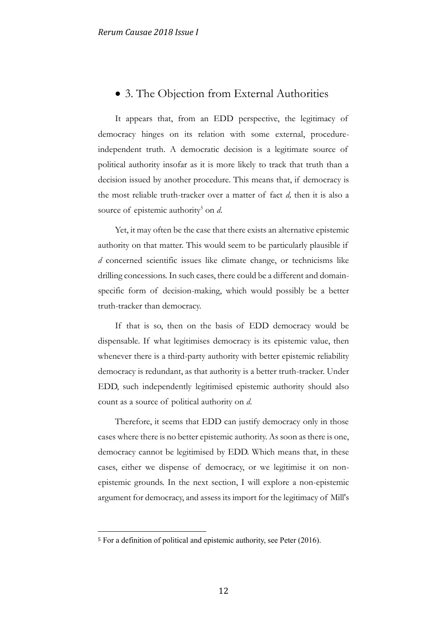### • 3. The Objection from External Authorities

It appears that, from an EDD perspective, the legitimacy of democracy hinges on its relation with some external, procedureindependent truth. A democratic decision is a legitimate source of political authority insofar as it is more likely to track that truth than a decision issued by another procedure. This means that, if democracy is the most reliable truth-tracker over a matter of fact *d,* then it is also a source of epistemic authority<sup>5</sup> on *d*.

Yet, it may often be the case that there exists an alternative epistemic authority on that matter. This would seem to be particularly plausible if *d* concerned scientific issues like climate change, or technicisms like drilling concessions. In such cases, there could be a different and domainspecific form of decision-making, which would possibly be a better truth-tracker than democracy.

If that is so, then on the basis of EDD democracy would be dispensable. If what legitimises democracy is its epistemic value, then whenever there is a third-party authority with better epistemic reliability democracy is redundant, as that authority is a better truth-tracker. Under EDD, such independently legitimised epistemic authority should also count as a source of political authority on *d*.

Therefore, it seems that EDD can justify democracy only in those cases where there is no better epistemic authority. As soon as there is one, democracy cannot be legitimised by EDD. Which means that, in these cases, either we dispense of democracy, or we legitimise it on nonepistemic grounds. In the next section, I will explore a non-epistemic argument for democracy, and assess its import for the legitimacy of Mill's

1

<sup>5</sup> For a definition of political and epistemic authority, see Peter (2016).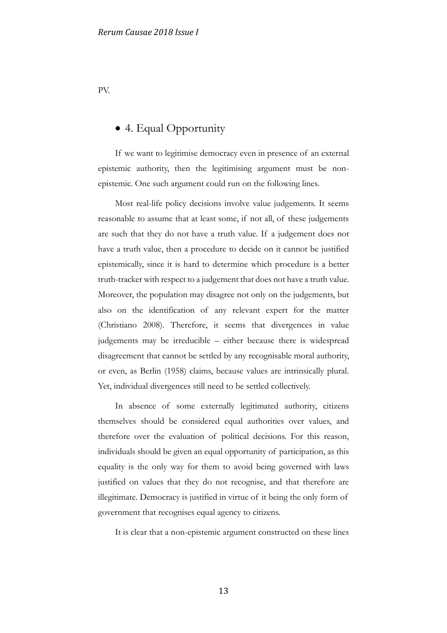PV.

# • 4. Equal Opportunity

If we want to legitimise democracy even in presence of an external epistemic authority, then the legitimising argument must be nonepistemic. One such argument could run on the following lines.

Most real-life policy decisions involve value judgements. It seems reasonable to assume that at least some, if not all, of these judgements are such that they do not have a truth value. If a judgement does not have a truth value, then a procedure to decide on it cannot be justified epistemically, since it is hard to determine which procedure is a better truth-tracker with respect to a judgement that does not have a truth value. Moreover, the population may disagree not only on the judgements, but also on the identification of any relevant expert for the matter (Christiano 2008). Therefore, it seems that divergences in value judgements may be irreducible – either because there is widespread disagreement that cannot be settled by any recognisable moral authority, or even, as Berlin (1958) claims, because values are intrinsically plural. Yet, individual divergences still need to be settled collectively.

In absence of some externally legitimated authority, citizens themselves should be considered equal authorities over values, and therefore over the evaluation of political decisions. For this reason, individuals should be given an equal opportunity of participation, as this equality is the only way for them to avoid being governed with laws justified on values that they do not recognise, and that therefore are illegitimate. Democracy is justified in virtue of it being the only form of government that recognises equal agency to citizens.

It is clear that a non-epistemic argument constructed on these lines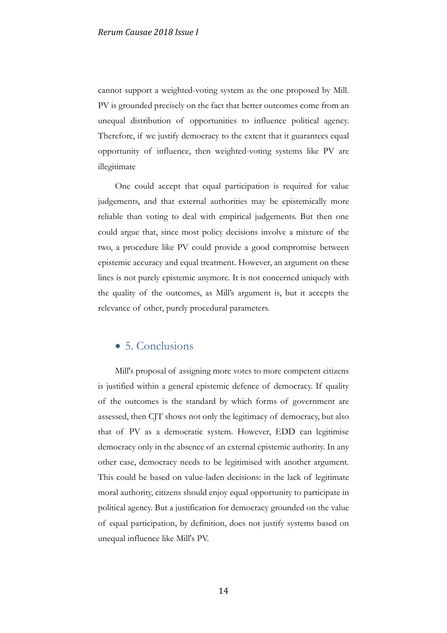cannot support a weighted-voting system as the one proposed by Mill. PV is grounded precisely on the fact that better outcomes come from an unequal distribution of opportunities to influence political agency. Therefore, if we justify democracy to the extent that it guarantees equal opportunity of influence, then weighted-voting systems like PV are illegitimate

One could accept that equal participation is required for value judgements, and that external authorities may be epistemically more reliable than voting to deal with empirical judgements. But then one could argue that, since most policy decisions involve a mixture of the two, a procedure like PV could provide a good compromise between epistemic accuracy and equal treatment. However, an argument on these lines is not purely epistemic anymore. It is not concerned uniquely with the quality of the outcomes, as Mill's argument is, but it accepts the relevance of other, purely procedural parameters.

## • 5. Conclusions

Mill's proposal of assigning more votes to more competent citizens is justified within a general epistemic defence of democracy. If quality of the outcomes is the standard by which forms of government are assessed, then CJT shows not only the legitimacy of democracy, but also that of PV as a democratic system. However, EDD can legitimise democracy only in the absence of an external epistemic authority. In any other case, democracy needs to be legitimised with another argument. This could be based on value-laden decisions: in the lack of legitimate moral authority, citizens should enjoy equal opportunity to participate in political agency. But a justification for democracy grounded on the value of equal participation, by definition, does not justify systems based on unequal influence like Mill's PV.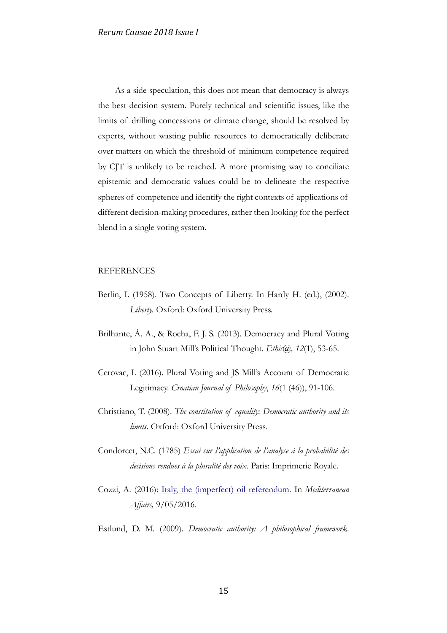As a side speculation, this does not mean that democracy is always the best decision system. Purely technical and scientific issues, like the limits of drilling concessions or climate change, should be resolved by experts, without wasting public resources to democratically deliberate over matters on which the threshold of minimum competence required by CJT is unlikely to be reached. A more promising way to conciliate epistemic and democratic values could be to delineate the respective spheres of competence and identify the right contexts of applications of different decision-making procedures, rather then looking for the perfect blend in a single voting system.

#### **REFERENCES**

- Berlin, I. (1958). Two Concepts of Liberty. In Hardy H. (ed.), (2002). *Liberty.* Oxford: Oxford University Press.
- Brilhante, Á. A., & Rocha, F. J. S. (2013). Democracy and Plural Voting in John Stuart Mill's Political Thought. *Ethic@, 12*(1), 53-65.
- Cerovac, I. (2016). Plural Voting and JS Mill's Account of Democratic Legitimacy. *Croatian Journal of Philosophy*, *16*(1 (46)), 91-106.
- Christiano, T. (2008). *The constitution of equality: Democratic authority and its limits*. Oxford: Oxford University Press.
- Condorcet, N.C. (1785) *Essai sur l'application de l'analyse à la probabilité des decisions rendues à la pluralité des voix.* Paris: Imprimerie Royale.
- Cozzi, A. (2016): [Italy, the \(imperfect\) oil referendum.](http://mediterraneanaffairs.com/italy-the-imperfect-oil-drilling-referendum/) In *Mediterranean Affairs,* 9/05/2016.
- Estlund, D. M. (2009). *Democratic authority: A philosophical framework*.